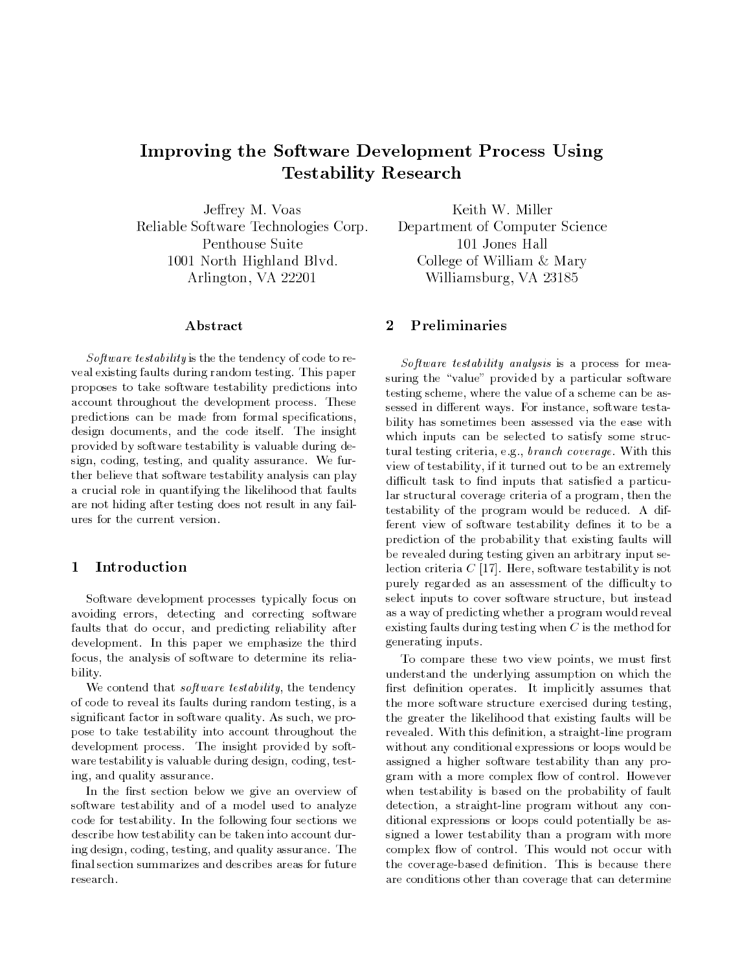# Improving the Software Development Process UsingTestability Research

Jeffrey M. Voas Keith W. Miller Reliable Software Technologies Corp. Department of Computer Science Penthouse Suite 101 Jones Hall 1001 North Highland Blvd. College of William & Mary

Abstract

Software testability is the the tendency of code to reveal existing faults during random testing. This paper proposes to take software testability predictions into account throughout the development process. These predictions can be made from formal specifications, design documents, and the code itself. The insight provided by software testability is valuable during design, coding, testing, and quality assurance. We further believe that software testability analysis can play a crucial role in quantifying the likelihood that faults are not hiding after testing does not result in any failures for the current version.

#### Introduction  $\mathbf{1}$ -

Software development processes typically focus on avoiding errors, detecting and correcting software faults that do occur, and predicting reliability after development. In this paper we emphasize the third focus, the analysis of software to determine its reliability.

We contend that *software testability*, the tendency of code to reveal its faults during random testing, is a significant factor in software quality. As such, we propose to take testability into account throughout the development process. The insight provided by software testability is valuable during design, coding, testing, and quality assurance.

In the first section below we give an overview of software testability and of a model used to analyze code for testability. In the following four sections we describe how testability can be taken into account during design, coding, testing, and quality assurance. The final section summarizes and describes areas for future research.

Arlington, VA 22201 Williamsburg, VA 23185

### 2Preliminaries

Software testability analysis is a process for measuring the "value" provided by a particular software testing scheme, where the value of a scheme can be assessed in different ways. For instance, software testability has sometimes been assessed via the ease with which inputs can be selected to satisfy some structural testing criteria, e.g., branch coverage. With this view of testability, if it turned out to be an extremely difficult task to find inputs that satisfied a particular structural coverage criteria of a program, then the testability of the program would be reduced. A different view of software testability defines it to be a prediction of the probability that existing faults will be revealed during testing given an arbitrary input selection criteria  $C$  [17]. Here, software testability is not purely regarded as an assessment of the difficulty to select inputs to cover software structure, but instead as a way of predicting whether a program would reveal existing faults during testing when <sup>C</sup> is the method for generating inputs.

To compare these two view points, we must first understand the underlying assumption on which the first definition operates. It implicitly assumes that the more software structure exercised during testing, the greater the likelihood that existing faults will be revealed. With this definition, a straight-line program without any conditional expressions or loops would be assigned a higher software testability than any program with a more complex flow of control. However when testability is based on the probability of fault detection, a straight-line program without any conditional expressions or loops could potentially be assigned a lower testability than a program with more complex flow of control. This would not occur with the coverage-based definition. This is because there are conditions other than coverage that can determine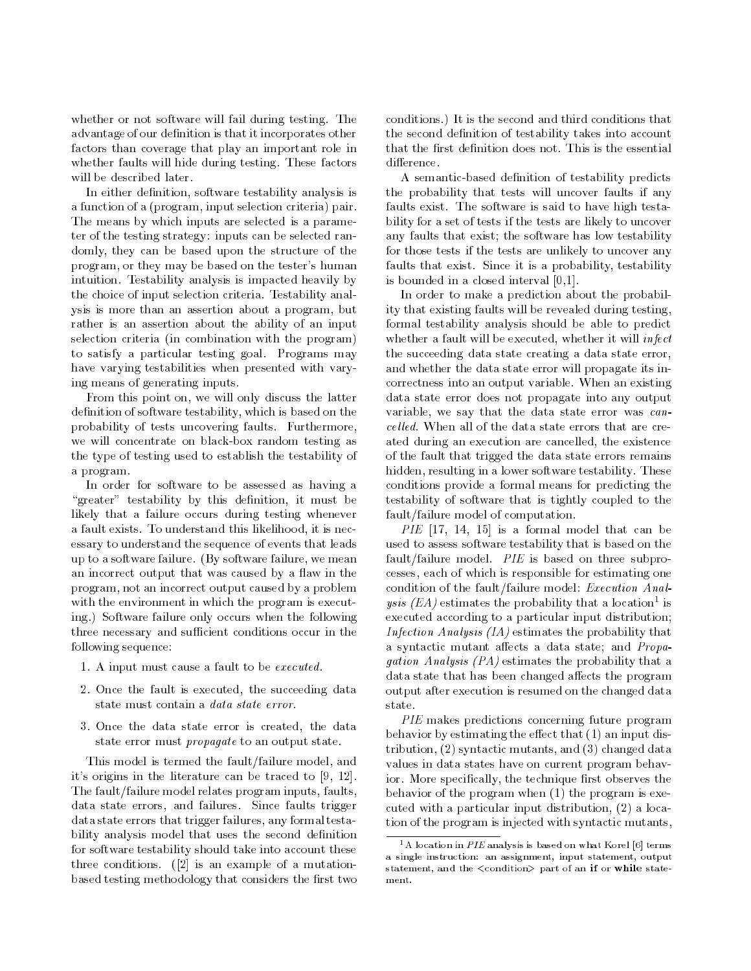whether or not software will fail during testing. The advantage of our definition is that it incorporates other factors than coverage that play an important role in whether faults will hide during testing. These factors will be described later.

In either definition, software testability analysis is a function of a (program, input selection criteria) pair. The means by which inputs are selected is a parameter of the testing strategy: inputs can be selected randomly, they can be based upon the structure of the program, or they may be based on the tester's human intuition. Testability analysis is impacted heavily by the choice of input selection criteria. Testability analysis is more than an assertion about a program, but rather is an assertion about the ability of an input selection criteria (in combination with the program) to satisfy a particular testing goal. Programs may have varying testabilities when presented with varying means of generating inputs.

From this point on, we will only discuss the latter definition of software testability, which is based on the probability of tests uncovering faults. Furthermore, we will concentrate on black-box random testing as the type of testing used to establish the testability of a program.

In order for software to be assessed as having a "greater" testability by this definition, it must be likely that a failure occurs during testing whenever a fault exists. To understand this likelihood, it is necessary to understand the sequence of events that leads up to a software failure. (By software failure, we mean an incorrect output that was caused by a flaw in the program, not an incorrect output caused by a problem with the environment in which the program is executing.) Software failure only occurs when the following three necessary and sufficient conditions occur in the following sequence:

- 1. A input must cause a fault to be executed.
- 2. Once the fault is executed, the succeeding data state must contain a data state error.
- 3. Once the data state error is created, the data state error must propagate to an output state.

This model is termed the fault/failure model, and it's origins in the literature can be traced to [9, 12]. The fault/failure model relates program inputs, faults, data state errors, and failures. Since faults trigger data state errors that trigger failures, any formal testability analysis model that uses the second definition for software testability should take into account these three conditions. ([2] is an example of a mutationbased testing methodology that considers the first two conditions.) It is the second and third conditions that the second definition of testability takes into account that the first definition does not. This is the essential difference.

A semantic-based definition of testability predicts the probability that tests will uncover faults if any faults exist. The software is said to have high testability for a set of tests if the tests are likely to uncover any faults that exist; the software has low testability for those tests if the tests are unlikely to uncover any faults that exist. Since it is a probability, testability is bounded in a closed interval [0,1].

In order to make a prediction about the probability that existing faults will be revealed during testing, formal testability analysis should be able to predict whether a fault will be executed, whether it will *infect* the succeeding data state creating a data state error, and whether the data state error will propagate its incorrectness into an output variable. When an existing data state error does not propagate into any output variable, we say that the data state error was cancelled. When all of the data state errors that are created during an execution are cancelled, the existence of the fault that trigged the data state errors remains hidden, resulting in a lower software testability. These conditions provide a formal means for predicting the testability of software that is tightly coupled to the fault/failure model of computation.

PIE [17, 14, 15] is a formal model that can be used to assess software testability that is based on the fault/failure model. PIE is based on three subprocesses, each of which is responsible for estimating one condition of the fault/failure model: Execution Anal $ysis$  (EA) estimates the probability that a location  $1\,\mathrm{s}$ executed according to a particular input distribution; Infection Analysis (IA) estimates the probability that a syntactic mutant affects a data state; and Propagation Analysis (PA) estimates the probability that a data state that has been changed affects the program output after execution is resumed on the changed data state.

PIE makes predictions concerning future program behavior by estimating the effect that  $(1)$  an input distribution, (2) syntactic mutants, and (3) changed data values in data states have on current program behavior. More specifically, the technique first observes the behavior of the program when (1) the program is executed with a particular input distribution, (2) a location of the program is injected with syntactic mutants,

 $1A$  location in PIE analysis is based on what Korel [6] terms a single instruction: an assignment, input statement, output statement, and the <condition> part of an if or while statement.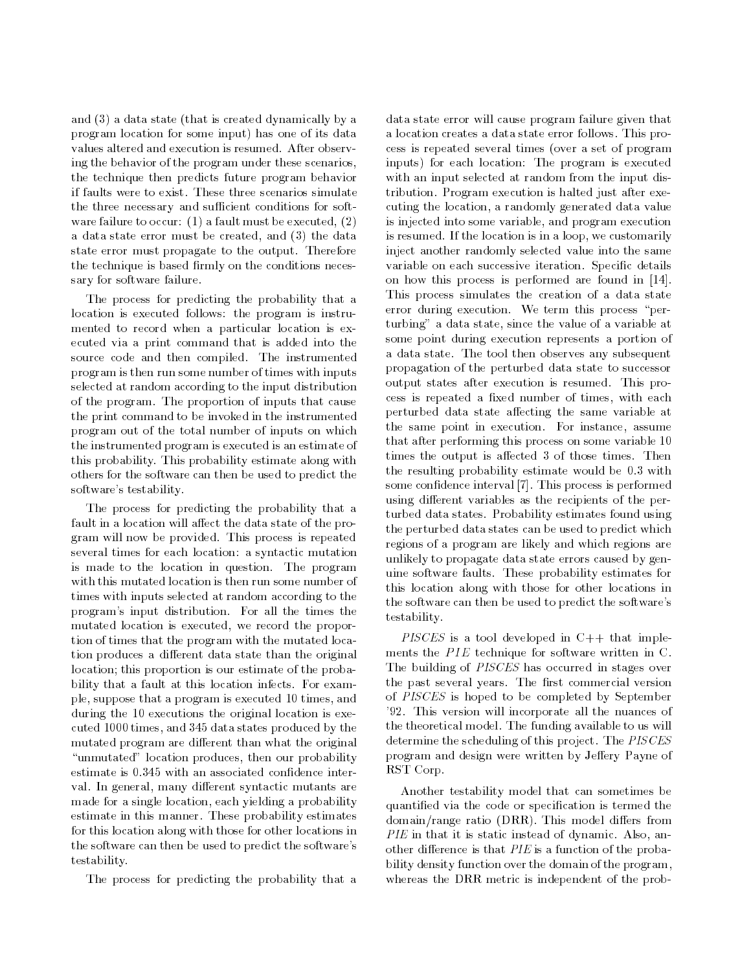and (3) a data state (that is created dynamically by a program location for some input) has one of its data values altered and execution is resumed. After observing the behavior of the program under these scenarios, the technique then predicts future program behavior if faults were to exist. These three scenarios simulate the three necessary and sufficient conditions for software failure to occur: (1) a fault must be executed, (2) a data state error must be created, and (3) the data state error must propagate to the output. Therefore the technique is based firmly on the conditions necessary for software failure.

The process for predicting the probability that a location is executed follows: the program is instru mented to record when a particular location is executed via a print command that is added into the source code and then compiled. The instrumented program is then run some number of times with inputs selected at random according to the input distribution of the program. The proportion of inputs that cause the print command to be invoked in the instrumented program out of the total number of inputs on which the instrumented program is executed is an estimate of this probability. This probability estimate along with others for the software can then be used to predict the software's testability.

The process for predicting the probability that a fault in a location will affect the data state of the program will now be provided. This process is repeated several times for each location: a syntactic mutation is made to the location in question. The program with this mutated location is then run some number of times with inputs selected at random according to the program's input distribution. For all the times the mutated location is executed, we record the proportion of times that the program with the mutated location produces a different data state than the original location; this proportion is our estimate of the probability that a fault at this location infects. For example, suppose that a program is executed 10 times, and during the 10 executions the original location is executed 1000 times, and 345 data states produced by the mutated program are different than what the original "unmutated" location produces, then our probability estimate is  $0.345$  with an associated confidence interval. In general, many different syntactic mutants are made for a single location, each yielding a probability estimate in this manner. These probability estimates for this location along with those for other locations in the software can then be used to predict the software's testability.

The process for predicting the probability that a

data state error will cause program failure given that a location creates a data state error follows. This process is repeated several times (over a set of program inputs) for each location: The program is executed with an input selected at random from the input distribution. Program execution is halted just after executing the location, a randomly generated data value is injected into some variable, and program execution is resumed. If the location is in a loop, we customarily inject another randomly selected value into the same variable on each successive iteration. Specific details on how this process is performed are found in [14]. This process simulates the creation of a data state error during execution. We term this process "perturbing" a data state, since the value of a variable at some point during execution represents a portion of a data state. The tool then observes any subsequent propagation of the perturbed data state to successor output states after execution is resumed. This process is repeated a fixed number of times, with each perturbed data state affecting the same variable at the same point in execution. For instance, assume that after performing this process on some variable 10 times the output is affected 3 of those times. Then the resulting probability estimate would be 0.3 with some confidence interval [7]. This process is performed using different variables as the recipients of the perturbed data states. Probability estimates found using the perturbed data states can be used to predict which regions of a program are likely and which regions are unlikely to propagate data state errors caused by genuine software faults. These probability estimates for this location along with those for other locations in the software can then be used to predict the software's testability.

PISCES is a tool developed in  $C_{++}$  that implements the  $PIE$  technique for software written in C. The building of PISCES has occurred in stages over the past several years. The first commercial version of PISCES is hoped to be completed by September '92. This version will incorporate all the nuances of the theoretical model. The funding available to us will determine the scheduling of this project. The PISCES program and design were written by Jeffery Payne of RST Corp.

Another testability model that can sometimes be quantied via the code or specication is termed the domain/range ratio (DRR). This model differs from PIE in that it is static instead of dynamic. Also, another difference is that  $PIE$  is a function of the probability density function over the domain of the program, whereas the DRR metric is independent of the prob-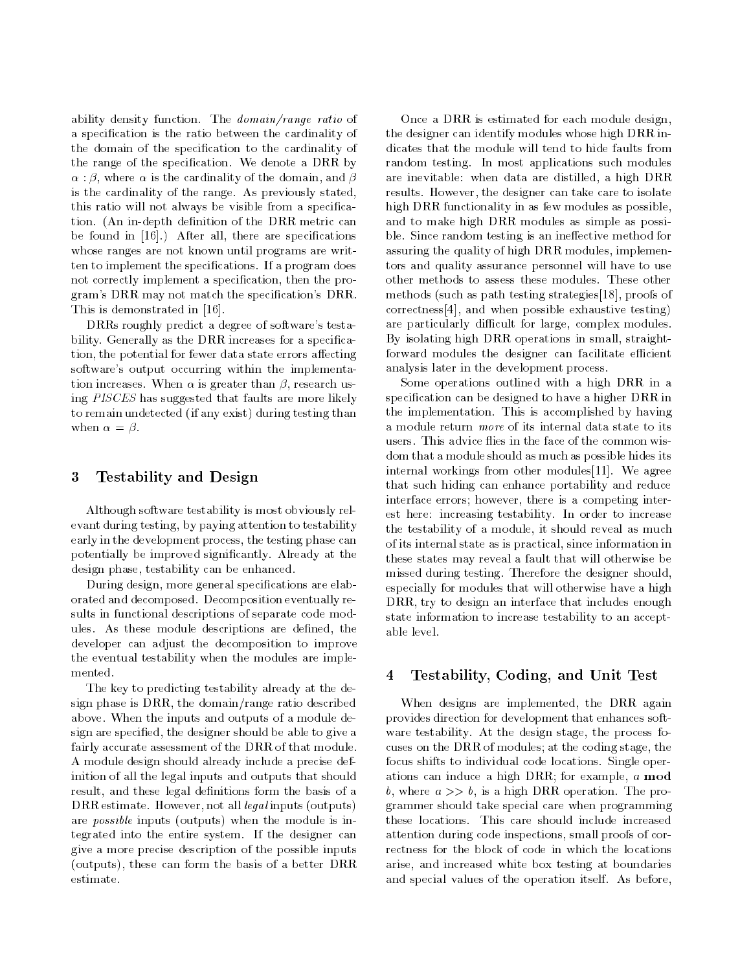ability density function. The domain/range ratio of a specication is the ratio between the cardinality of the domain of the specication to the cardinality of the range of the specification. We denote a DRR by  $\alpha$ :  $\beta$ , where  $\alpha$  is the cardinality of the domain, and  $\beta$ is the cardinality of the range. As previously stated, this ratio will not always be visible from a specication. (An in-depth definition of the DRR metric can be found in [16].) After all, there are specifications whose ranges are not known until programs are written to implement the specifications. If a program does not correctly implement a specification, then the program's DRR may not match the specication's DRR. This is demonstrated in [16].

DRRs roughly predict a degree of software's testability. Generally as the DRR increases for a specification, the potential for fewer data state errors affecting software's output occurring within the implementation increases. When  $\alpha$  is greater than  $\beta$ , research using PISCES has suggested that faults are more likely to remain undetected (if any exist) during testing than when  $\alpha = \beta$ .

### 3Testability and Design

Although software testability is most obviously relevant during testing, by paying attention to testability early in the development process, the testing phase can potentially be improved signicantly. Already at the design phase, testability can be enhanced.

During design, more general specications are elaborated and decomposed. Decomposition eventually results in functional descriptions of separate code modules. As these module descriptions are defined, the developer can adjust the decomposition to improve the eventual testability when the modules are imple mented.

The key to predicting testability already at the design phase is DRR, the domain/range ratio described above. When the inputs and outputs of a module design are specied, the designer should be able to give a fairly accurate assessment of the DRR of that module. A module design should already include a precise definition of all the legal inputs and outputs that should result, and these legal definitions form the basis of a DRR estimate. However, not all *legal* inputs (outputs) are possible inputs (outputs) when the module is integrated into the entire system. If the designer can give a more precise description of the possible inputs (outputs), these can form the basis of a better DRR estimate.

Once a DRR is estimated for each module design, the designer can identify modules whose high DRR indicates that the module will tend to hide faults from random testing. In most applications such modules are inevitable: when data are distilled, a high DRR results. However, the designer can take care to isolate high DRR functionality in as few modules as possible, and to make high DRR modules as simple as possible. Since random testing is an ineffective method for assuring the quality of high DRR modules, implementors and quality assurance personnel will have to use other methods to assess these modules. These other methods (such as path testing strategies[18], proofs of correctness[4], and when possible exhaustive testing) are particularly difficult for large, complex modules. By isolating high DRR operations in small, straightforward modules the designer can facilitate efficient analysis later in the development process.

Some operations outlined with a high DRR in a specification can be designed to have a higher DRR in the implementation. This is accomplished by having a module return more of its internal data state to its users. This advice flies in the face of the common wisdom that a module should as much as possible hides its internal workings from other modules[11]. We agree that such hiding can enhance portability and reduce interface errors; however, there is a competing interest here: increasing testability. In order to increase the testability of a module, it should reveal as much of its internal state as is practical, since information in these states may reveal a fault that will otherwise be missed during testing. Therefore the designer should, especially for modules that will otherwise have a high DRR, try to design an interface that includes enough state information to increase testability to an acceptable level.

## 4estability, Counig, and Onit Test

When designs are implemented, the DRR again provides direction for development that enhances software testability. At the design stage, the process focuses on the DRR of modules; at the coding stage, the focus shifts to individual code locations. Single operations can induce a high DRR; for example, <sup>a</sup> mod b, where  $a \gg b$ , is a high DRR operation. The programmer should take special care when programming these locations. This care should include increased attention during code inspections, small proofs of correctness for the block of code in which the locations arise, and increased white box testing at boundaries and special values of the operation itself. As before,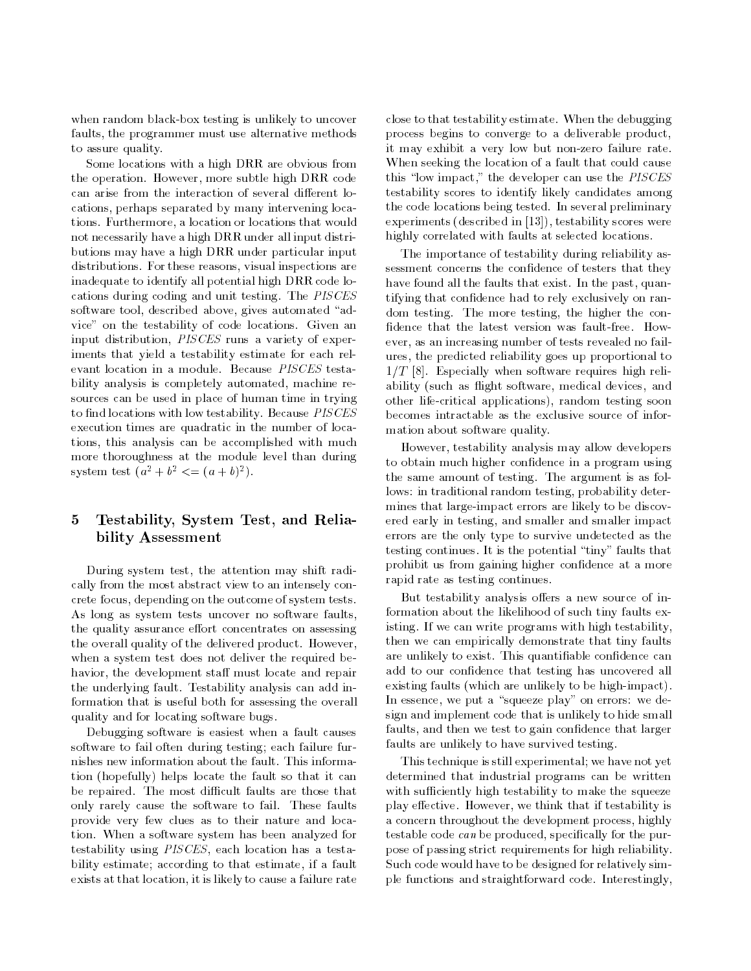when random black-box testing is unlikely to uncover faults, the programmer must use alternative methods to assure quality.

Some locations with a high DRR are obvious from the operation. However, more subtle high DRR code can arise from the interaction of several different locations, perhaps separated by many intervening locations. Furthermore, a location or locations that would not necessarily have a high DRR under all input distributions may have a high DRR under particular input distributions. For these reasons, visual inspections are inadequate to identify all potential high DRR code locations during coding and unit testing. The PISCES software tool, described above, gives automated "advice" on the testability of code locations. Given an input distribution, PISCES runs a variety of experiments that yield a testability estimate for each relevant location in a module. Because PISCES testability analysis is completely automated, machine resources can be used in place of human time in trying to find locations with low testability. Because PISCES execution times are quadratic in the number of locations, this analysis can be accomplished with much more thoroughness at the module level than during system test ( $a^2 + b^2 \leq a^2 + b^2$ ).

## 5Testability, System Test, and Reliability ssessment

During system test, the attention may shift radically from the most abstract view to an intensely concrete focus, depending on the outcome of system tests. As long as system tests uncover no software faults, the quality assurance effort concentrates on assessing the overall quality of the delivered product. However, when a system test does not deliver the required behavior, the development staff must locate and repair the underlying fault. Testability analysis can add information that is useful both for assessing the overall quality and for locating software bugs.

Debugging software is easiest when a fault causes software to fail often during testing; each failure furnishes new information about the fault. This information (hopefully) helps locate the fault so that it can be repaired. The most difficult faults are those that only rarely cause the software to fail. These faults provide very few clues as to their nature and location. When a software system has been analyzed for testability using PISCES, each location has a testability estimate; according to that estimate, if a fault exists at that location, it is likely to cause a failure rate

close to that testability estimate. When the debugging process begins to converge to a deliverable product, it may exhibit a very low but non-zero failure rate. When seeking the location of a fault that could cause this "low impact," the developer can use the PISCES testability scores to identify likely candidates among the code locations being tested. In several preliminary experiments (described in [13]), testability scores were highly correlated with faults at selected locations.

The importance of testability during reliability assessment concerns the confidence of testers that they have found all the faults that exist. In the past, quantifying that condence had to rely exclusively on random testing. The more testing, the higher the con fidence that the latest version was fault-free. However, as an increasing number of tests revealed no failures, the predicted reliability goes up proportional to  $1/T$  [8]. Especially when software requires high reliability (such as flight software, medical devices, and other life-critical applications), random testing soon becomes intractable as the exclusive source of information about software quality.

However, testability analysis may allow developers to obtain much higher condence in a program using the same amount of testing. The argument is as follows: in traditional random testing, probability determines that large-impact errors are likely to be discovered early in testing, and smaller and smaller impact errors are the only type to survive undetected as the testing continues. It is the potential "tiny" faults that prohibit us from gaining higher confidence at a more rapid rate as testing continues.

But testability analysis offers a new source of information about the likelihood of such tiny faults existing. If we can write programs with high testability, then we can empirically demonstrate that tiny faults are unlikely to exist. This quantifiable confidence can add to our condence that testing has uncovered all existing faults (which are unlikely to be high-impact). In essence, we put a "squeeze play" on errors: we design and implement code that is unlikely to hide small faults, and then we test to gain confidence that larger faults are unlikely to have survived testing.

This technique is still experimental; we have not yet determined that industrial programs can be written with sufficiently high testability to make the squeeze play effective. However, we think that if testability is a concern throughout the development process, highly testable code can be produced, specifically for the purpose of passing strict requirements for high reliability. Such code would have to be designed for relatively simple functions and straightforward code. Interestingly,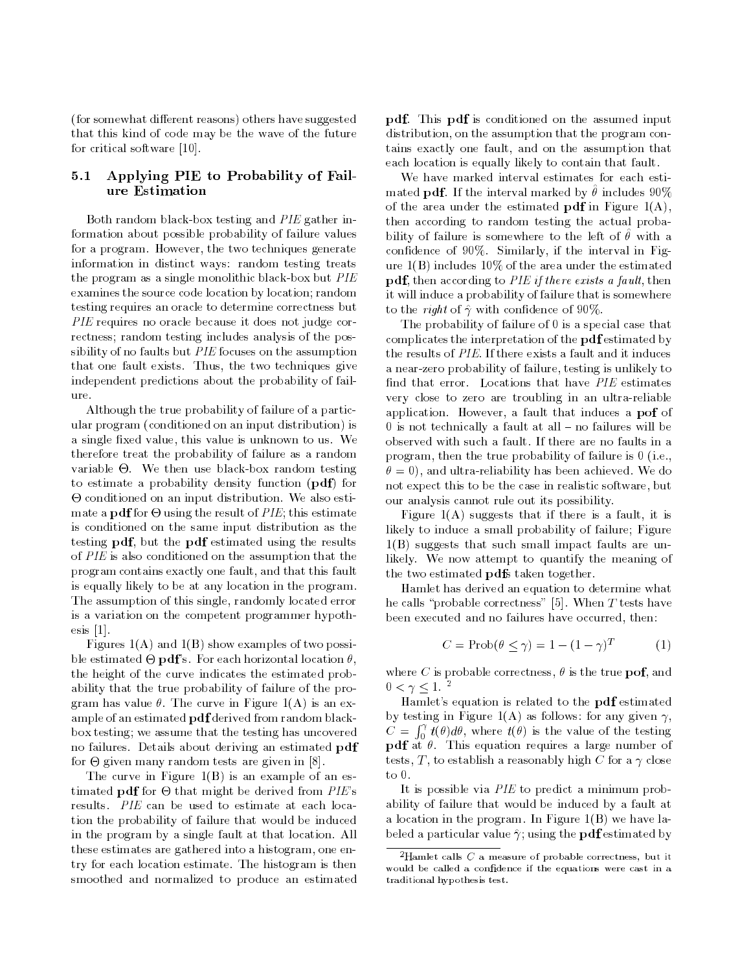(for somewhat different reasons) others have suggested that this kind of code may be the wave of the future for critical software [10].

## 5.1 Applying PIE to Probability of Failure Estimation

Both random black-box testing and PIE gather information about possible probability of failure values for a program. However, the two techniques generate information in distinct ways: random testing treats the program as a single monolithic black-box but *PIE* examines the source code location by location; random testing requires an oracle to determine correctness but PIE requires no oracle because it does not judge correctness; random testing includes analysis of the possibility of no faults but PIE focuses on the assumption that one fault exists. Thus, the two techniques give independent predictions about the probability of fail-

ure.<br>Although the true probability of failure of a particular program (conditioned on an input distribution) is a single fixed value, this value is unknown to us. We therefore treat the probability of failure as a random variable  $\Theta$ . We then use black-box random testing to estimate a probability density function  $(\text{pdf})$  for  $\Theta$  conditioned on an input distribution. We also estimate a **pdf** for  $\Theta$  using the result of PIE; this estimate is conditioned on the same input distribution as the testing pdf, but the pdf estimated using the results of PIE is also conditioned on the assumption that the program contains exactly one fault, and that this fault is equally likely to be at any location in the program. The assumption of this single, randomly located error is a variation on the competent programmer hypothesis [1].

Figures  $1(A)$  and  $1(B)$  show examples of two possible estimated  $\Theta$  pdf's. For each horizontal location  $\theta$ , the height of the curve indicates the estimated probability that the true probability of failure of the program has value  $\theta$ . The curve in Figure 1(A) is an example of an estimated  $pdf$  derived from random blackbox testing; we assume that the testing has uncovered no failures. Details about deriving an estimated pdf for  $\Theta$  given many random tests are given in [8].

The curve in Figure  $1(B)$  is an example of an estimated pdf for  $\Theta$  that might be derived from PIE's results. PIE can be used to estimate at each location the probability of failure that would be induced in the program by a single fault at that location. All these estimates are gathered into a histogram, one entry for each location estimate. The histogram is then smoothed and normalized to produce an estimated pdf. This pdf is conditioned on the assumed input distribution, on the assumption that the program contains exactly one fault, and on the assumption that each location is equally likely to contain that fault.

We have marked interval estimates for each esti- $\max$  purature interval marked by  $\theta$  includes  $\frac{\partial \theta}{\partial t}$ of the area under the estimated **pdf** in Figure  $1(A)$ , then according to random testing the actual proba- $_{\rm{pump}}$  or failure is somewhere to the left of  $\mu$  with a confidence of  $90\%$ . Similarly, if the interval in Figure  $1(B)$  includes  $10\%$  of the area under the estimated pdf, then according to PIE if there exists a fault, then it will induce a probability of failure that is somewhere to the right of  $\hat{\gamma}$  with confidence of 90%.

The probability of failure of 0 is a special case that complicates the interpretation of the  $pdf$  estimated by the results of PIE. If there exists a fault and it induces a near-zero probability of failure, testing is unlikely to find that error. Locations that have PIE estimates very close to zero are troubling in an ultra-reliable application. However, a fault that induces a pof of  $0$  is not technically a fault at all  $-$  no failures will be observed with such a fault. If there are no faults in a program, then the true probability of failure is 0 (i.e.,  $\theta = 0$ , and ultra-reliability has been achieved. We do not expect this to be the case in realistic software, but our analysis cannot rule out its possibility.

Figure  $1(A)$  suggests that if there is a fault, it is likely to induce a small probability of failure; Figure  $1(B)$  suggests that such small impact faults are unlikely. We now attempt to quantify the meaning of the two estimated pdfs taken together.

Hamlet has derived an equation to determine what he calls "probable correctness" [5]. When  $T$  tests have been executed and no failures have occurred, then:

$$
C = \text{Prob}(\theta \le \gamma) = 1 - (1 - \gamma)^T \tag{1}
$$

where C is probable correctness,  $\theta$  is the true pof, and  $0 < \gamma < 1$ .<sup>2</sup>

Hamlet's equation is related to the pdf estimated by testing in Figure 1(A) as follows: for any given  $\gamma$ ,  $C = \int_0^{\tau} t(\theta) d\theta$ , where  $t(\theta)$  is the value of the testing pdf at  $\theta$ . This equation requires a large number of tests, T, to establish a reasonably high C for a  $\gamma$  close to 0.

It is possible via PIE to predict a minimum probability of failure that would be induced by a fault at a location in the program. In Figure 1(B) we have labeled a particular value  $\hat{\gamma}$ ; using the **pdf** estimated by

<sup>&</sup>lt;sup>2</sup>Hamlet calls  $C$  a measure of probable correctness, but it would be called a confidence if the equations were cast in a traditional hypothesis test.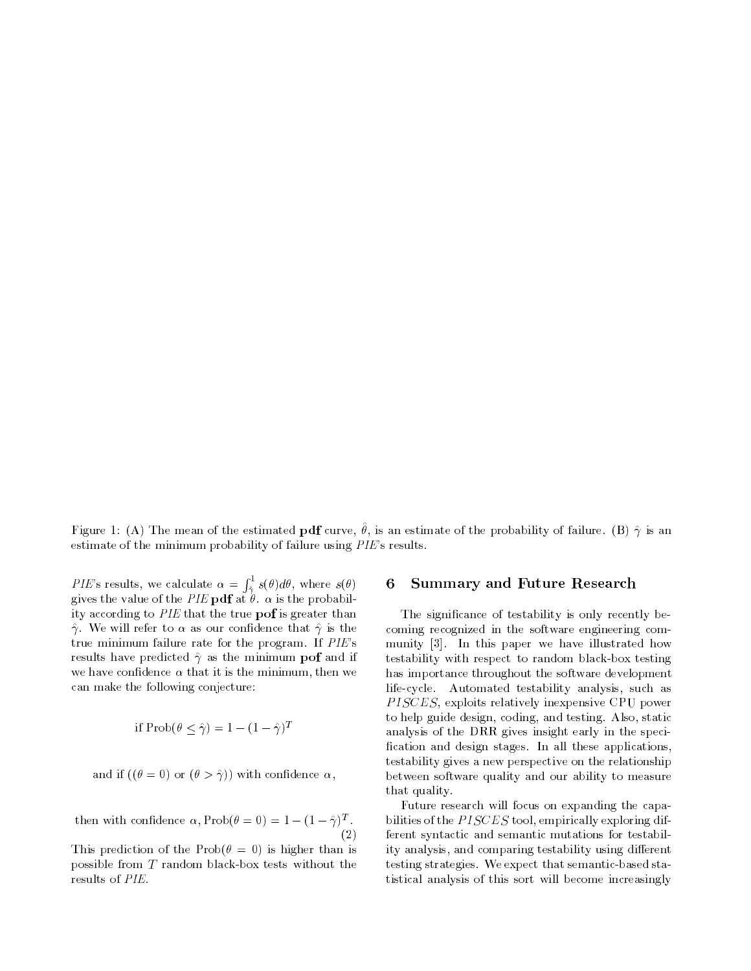$\Gamma$ igure 1. (A) The mean of the estimated pull curve,  $v$ , is an estimate of the probability of failure. (B)  $\gamma$  is an estimate of the minimum probability of failure using PIE's results.

PIE's results, we calculate  $\alpha = \int_{\gamma}^{1} s(\theta) d\theta$ , where  $s(\theta)$ ^ gives the value of the PIE pd at . is the probability according to  $PIE$  that the true  $\mathbf{pof}$  is greater than  $\hat{\gamma}$ . We will refer to  $\alpha$  as our confidence that  $\hat{\gamma}$  is the true minimum failure rate for the program. If PIE's results have predicted  $\hat{\gamma}$  as the minimum pof and if we have confidence  $\alpha$  that it is the minimum, then we can make the following conjecture:

if 
$$
Prob(\theta \leq \hat{\gamma}) = 1 - (1 - \hat{\gamma})^T
$$

and if  $((\theta = 0)$  or  $(\theta > \hat{\gamma}))$  with confidence  $\alpha$ ,

then with confidence  $\alpha$ , Prob $(\theta = 0) = 1 - (1 - \hat{\gamma})^T$ . (2)

This prediction of the Prob $(\theta = 0)$  is higher than is possible from  $T$  random black-box tests without the results of PIE.

### 6 ummar y and puture research

The signicance of testability is only recently becoming recognized in the software engineering com munity [3]. In this paper we have illustrated how testability with respect to random black-box testing has importance throughout the software development life-cycle. Automated testability analysis, such as  $PISCES$ , exploits relatively inexpensive CPU power to help guide design, coding, and testing. Also, static analysis of the DRR gives insight early in the speci fication and design stages. In all these applications, testability gives a new perspective on the relationship between software quality and our ability to measure that quality.

Future research will focus on expanding the capabilities of the  $PISCES$  tool, empirically exploring different syntactic and semantic mutations for testability analysis, and comparing testability using different testing strategies. We expect that semantic-based statistical analysis of this sort will become increasingly